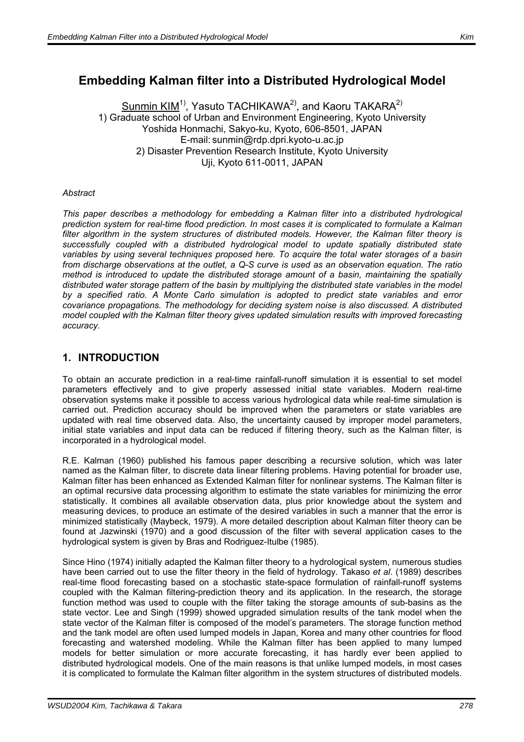# **Embedding Kalman filter into a Distributed Hydrological Model**

Sunmin KIM<sup>1)</sup>, Yasuto TACHIKAWA<sup>2)</sup>, and Kaoru TAKARA<sup>2)</sup> 1) Graduate school of Urban and Environment Engineering, Kyoto University Yoshida Honmachi, Sakyo-ku, Kyoto, 606-8501, JAPAN E-mail: sunmin@rdp.dpri.kyoto-u.ac.jp 2) Disaster Prevention Research Institute, Kyoto University Uji, Kyoto 611-0011, JAPAN

### *Abstract*

*This paper describes a methodology for embedding a Kalman filter into a distributed hydrological prediction system for real-time flood prediction. In most cases it is complicated to formulate a Kalman filter algorithm in the system structures of distributed models. However, the Kalman filter theory is successfully coupled with a distributed hydrological model to update spatially distributed state variables by using several techniques proposed here. To acquire the total water storages of a basin from discharge observations at the outlet, a Q-S curve is used as an observation equation. The ratio method is introduced to update the distributed storage amount of a basin, maintaining the spatially distributed water storage pattern of the basin by multiplying the distributed state variables in the model by a specified ratio. A Monte Carlo simulation is adopted to predict state variables and error covariance propagations. The methodology for deciding system noise is also discussed. A distributed model coupled with the Kalman filter theory gives updated simulation results with improved forecasting accuracy.* 

### **1. INTRODUCTION**

To obtain an accurate prediction in a real-time rainfall-runoff simulation it is essential to set model parameters effectively and to give properly assessed initial state variables. Modern real-time observation systems make it possible to access various hydrological data while real-time simulation is carried out. Prediction accuracy should be improved when the parameters or state variables are updated with real time observed data. Also, the uncertainty caused by improper model parameters, initial state variables and input data can be reduced if filtering theory, such as the Kalman filter, is incorporated in a hydrological model.

R.E. Kalman (1960) published his famous paper describing a recursive solution, which was later named as the Kalman filter, to discrete data linear filtering problems. Having potential for broader use, Kalman filter has been enhanced as Extended Kalman filter for nonlinear systems. The Kalman filter is an optimal recursive data processing algorithm to estimate the state variables for minimizing the error statistically. It combines all available observation data, plus prior knowledge about the system and measuring devices, to produce an estimate of the desired variables in such a manner that the error is minimized statistically (Maybeck, 1979). A more detailed description about Kalman filter theory can be found at Jazwinski (1970) and a good discussion of the filter with several application cases to the hydrological system is given by Bras and Rodriguez-Itulbe (1985).

Since Hino (1974) initially adapted the Kalman filter theory to a hydrological system, numerous studies have been carried out to use the filter theory in the field of hydrology. Takaso *et al*. (1989) describes real-time flood forecasting based on a stochastic state-space formulation of rainfall-runoff systems coupled with the Kalman filtering-prediction theory and its application. In the research, the storage function method was used to couple with the filter taking the storage amounts of sub-basins as the state vector. Lee and Singh (1999) showed upgraded simulation results of the tank model when the state vector of the Kalman filter is composed of the model's parameters. The storage function method and the tank model are often used lumped models in Japan, Korea and many other countries for flood forecasting and watershed modeling. While the Kalman filter has been applied to many lumped models for better simulation or more accurate forecasting, it has hardly ever been applied to distributed hydrological models. One of the main reasons is that unlike lumped models, in most cases it is complicated to formulate the Kalman filter algorithm in the system structures of distributed models.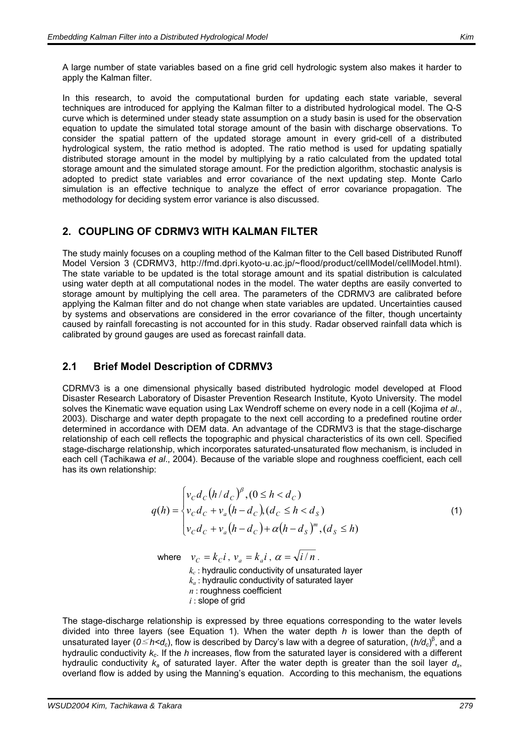A large number of state variables based on a fine grid cell hydrologic system also makes it harder to apply the Kalman filter.

In this research, to avoid the computational burden for updating each state variable, several techniques are introduced for applying the Kalman filter to a distributed hydrological model. The Q-S curve which is determined under steady state assumption on a study basin is used for the observation equation to update the simulated total storage amount of the basin with discharge observations. To consider the spatial pattern of the updated storage amount in every grid-cell of a distributed hydrological system, the ratio method is adopted. The ratio method is used for updating spatially distributed storage amount in the model by multiplying by a ratio calculated from the updated total storage amount and the simulated storage amount. For the prediction algorithm, stochastic analysis is adopted to predict state variables and error covariance of the next updating step. Monte Carlo simulation is an effective technique to analyze the effect of error covariance propagation. The methodology for deciding system error variance is also discussed.

### **2. COUPLING OF CDRMV3 WITH KALMAN FILTER**

The study mainly focuses on a coupling method of the Kalman filter to the Cell based Distributed Runoff Model Version 3 (CDRMV3, http://fmd.dpri.kyoto-u.ac.jp/~flood/product/cellModel/cellModel.html). The state variable to be updated is the total storage amount and its spatial distribution is calculated using water depth at all computational nodes in the model. The water depths are easily converted to storage amount by multiplying the cell area. The parameters of the CDRMV3 are calibrated before applying the Kalman filter and do not change when state variables are updated. Uncertainties caused by systems and observations are considered in the error covariance of the filter, though uncertainty caused by rainfall forecasting is not accounted for in this study. Radar observed rainfall data which is calibrated by ground gauges are used as forecast rainfall data.

### **2.1 Brief Model Description of CDRMV3**

CDRMV3 is a one dimensional physically based distributed hydrologic model developed at Flood Disaster Research Laboratory of Disaster Prevention Research Institute, Kyoto University. The model solves the Kinematic wave equation using Lax Wendroff scheme on every node in a cell (Kojima *et al*., 2003). Discharge and water depth propagate to the next cell according to a predefined routine order determined in accordance with DEM data. An advantage of the CDRMV3 is that the stage-discharge relationship of each cell reflects the topographic and physical characteristics of its own cell. Specified stage-discharge relationship, which incorporates saturated-unsaturated flow mechanism, is included in each cell (Tachikawa *et al*., 2004). Because of the variable slope and roughness coefficient, each cell has its own relationship:

$$
q(h) = \begin{cases} v_C d_C (h/d_C)^{\beta}, (0 \le h < d_C) \\ v_C d_C + v_a (h - d_C), (d_C \le h < d_S) \\ v_C d_C + v_a (h - d_C) + \alpha (h - d_S)^m, (d_S \le h) \end{cases}
$$
(1)

where  $v_c = k_c i$ ,  $v_a = k_a i$ ,  $\alpha = \sqrt{i/n}$ .  $k<sub>c</sub>$ : hydraulic conductivity of unsaturated layer *ka* : hydraulic conductivity of saturated layer

- *n* : roughness coefficient
- *i* : slope of grid

The stage-discharge relationship is expressed by three equations corresponding to the water levels divided into three layers (see Equation 1). When the water depth *h* is lower than the depth of unsaturated layer (*0≤h<d<sub>c</sub>*), flow is described by Darcy's law with a degree of saturation, (*h/d<sub>c</sub>*)<sup>β</sup>, and a hydraulic conductivity  $k<sub>c</sub>$ . If the *h* increases, flow from the saturated layer is considered with a different hydraulic conductivity *ka* of saturated layer. After the water depth is greater than the soil layer *ds*, overland flow is added by using the Manning's equation. According to this mechanism, the equations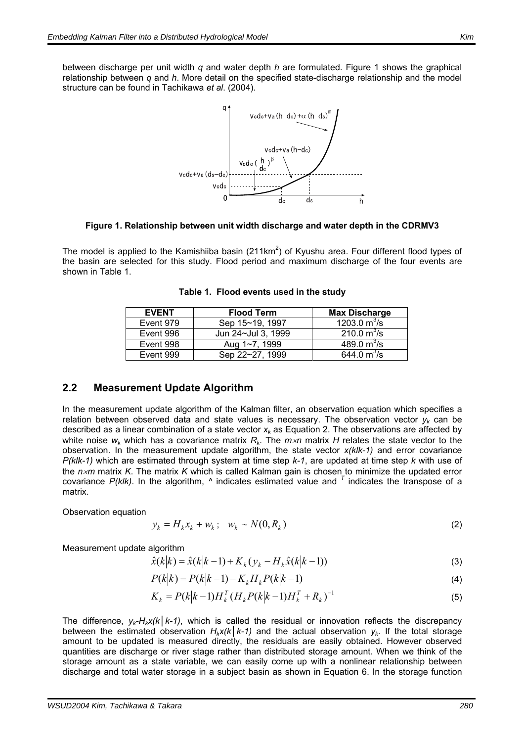between discharge per unit width *q* and water depth *h* are formulated. Figure 1 shows the graphical relationship between *q* and *h*. More detail on the specified state-discharge relationship and the model structure can be found in Tachikawa *et al*. (2004).



#### **Figure 1. Relationship between unit width discharge and water depth in the CDRMV3**

The model is applied to the Kamishiiba basin (211km<sup>2</sup>) of Kyushu area. Four different flood types of the basin are selected for this study. Flood period and maximum discharge of the four events are shown in Table 1.

| <b>EVENT</b> | <b>Flood Term</b>  | <b>Max Discharge</b>         |
|--------------|--------------------|------------------------------|
| Event 979    | Sep 15~19, 1997    | 1203.0 $\text{m}^3\text{/s}$ |
| Event 996    | Jun 24~Jul 3, 1999 | $210.0 \text{ m}^3/\text{s}$ |
| Event 998    | Aug 1~7, 1999      | 489.0 $m^3$ /s               |
| Event 999    | Sep 22~27, 1999    | 644.0 $m^3$ /s               |

**Table 1. Flood events used in the study** 

#### **2.2 Measurement Update Algorithm**

In the measurement update algorithm of the Kalman filter, an observation equation which specifies a relation between observed data and state values is necessary. The observation vector  $y_k$  can be described as a linear combination of a state vector *xk* as Equation 2. The observations are affected by white noise  $w_k$  which has a covariance matrix  $R_k$ . The  $m \times n$  matrix *H* relates the state vector to the observation. In the measurement update algorithm, the state vector *x(klk-1)* and error covariance *P(klk-1)* which are estimated through system at time step *k-1*, are updated at time step *k* with use of the *n*×*m* matrix *K*. The matrix *K* which is called Kalman gain is chosen to minimize the updated error covariance *P(klk)*. In the algorithm, *^* indicates estimated value and *<sup>T</sup>* indicates the transpose of a matrix.

Observation equation

$$
y_k = H_k x_k + w_k; \quad w_k \sim N(0, R_k)
$$
\n<sup>(2)</sup>

Measurement update algorithm

$$
\hat{x}(k|k) = \hat{x}(k|k-1) + K_k(y_k - H_k\hat{x}(k|k-1))
$$
\n(3)

$$
P(k|k) = P(k|k-1) - K_k H_k P(k|k-1)
$$
\n(4)

$$
K_k = P(k|k-1)H_k^T(H_kP(k|k-1)H_k^T + R_k)^{-1}
$$
\n(5)

The difference, *yk-Hkx(k│k-1)*, which is called the residual or innovation reflects the discrepancy between the estimated observation *Hkx(k│k-1)* and the actual observation *yk*. If the total storage amount to be updated is measured directly, the residuals are easily obtained. However observed quantities are discharge or river stage rather than distributed storage amount. When we think of the storage amount as a state variable, we can easily come up with a nonlinear relationship between discharge and total water storage in a subject basin as shown in Equation 6. In the storage function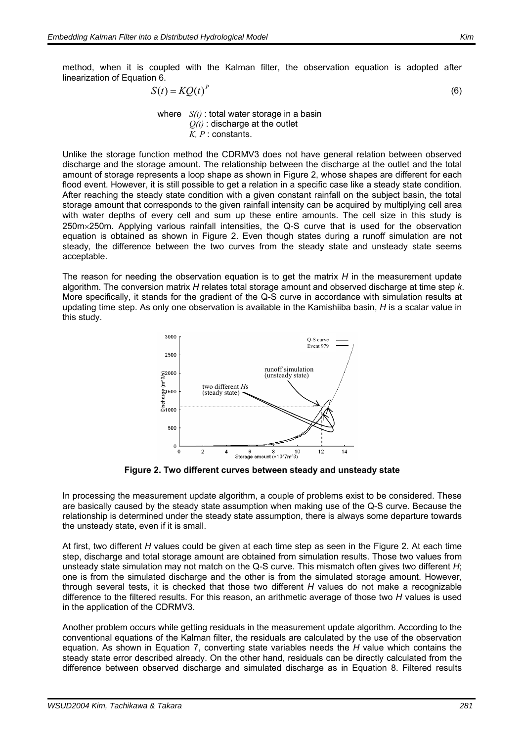method, when it is coupled with the Kalman filter, the observation equation is adopted after linearization of Equation 6.

$$
S(t) = KQ(t)^P
$$
 (6)

 where *S(t)* : total water storage in a basin  $Q(t)$ : discharge at the outlet *K, P* : constants.

Unlike the storage function method the CDRMV3 does not have general relation between observed discharge and the storage amount. The relationship between the discharge at the outlet and the total amount of storage represents a loop shape as shown in Figure 2, whose shapes are different for each flood event. However, it is still possible to get a relation in a specific case like a steady state condition. After reaching the steady state condition with a given constant rainfall on the subject basin, the total storage amount that corresponds to the given rainfall intensity can be acquired by multiplying cell area with water depths of every cell and sum up these entire amounts. The cell size in this study is 250m×250m. Applying various rainfall intensities, the Q-S curve that is used for the observation equation is obtained as shown in Figure 2. Even though states during a runoff simulation are not steady, the difference between the two curves from the steady state and unsteady state seems acceptable.

The reason for needing the observation equation is to get the matrix *H* in the measurement update algorithm. The conversion matrix *H* relates total storage amount and observed discharge at time step *k*. More specifically, it stands for the gradient of the Q-S curve in accordance with simulation results at updating time step. As only one observation is available in the Kamishiiba basin, *H* is a scalar value in this study.



**Figure 2. Two different curves between steady and unsteady state** 

In processing the measurement update algorithm, a couple of problems exist to be considered. These are basically caused by the steady state assumption when making use of the Q-S curve. Because the relationship is determined under the steady state assumption, there is always some departure towards the unsteady state, even if it is small.

At first, two different *H* values could be given at each time step as seen in the Figure 2. At each time step, discharge and total storage amount are obtained from simulation results. Those two values from unsteady state simulation may not match on the Q-S curve. This mismatch often gives two different *H*; one is from the simulated discharge and the other is from the simulated storage amount. However, through several tests, it is checked that those two different *H* values do not make a recognizable difference to the filtered results. For this reason, an arithmetic average of those two *H* values is used in the application of the CDRMV3.

Another problem occurs while getting residuals in the measurement update algorithm. According to the conventional equations of the Kalman filter, the residuals are calculated by the use of the observation equation. As shown in Equation 7, converting state variables needs the *H* value which contains the steady state error described already. On the other hand, residuals can be directly calculated from the difference between observed discharge and simulated discharge as in Equation 8. Filtered results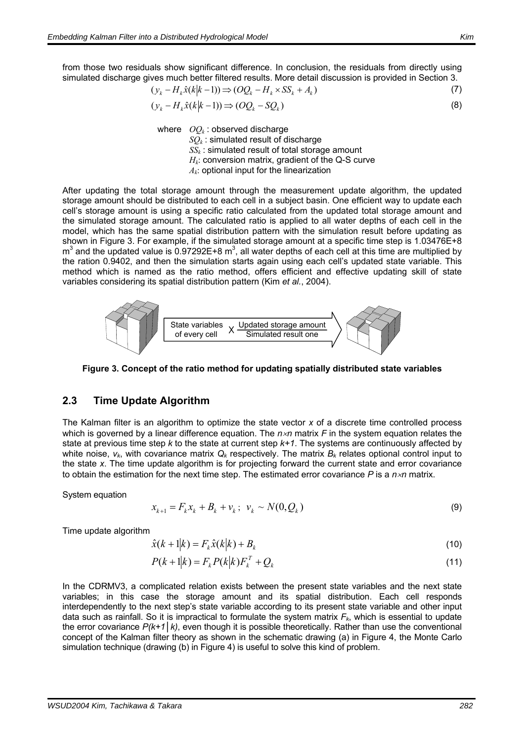from those two residuals show significant difference. In conclusion, the residuals from directly using simulated discharge gives much better filtered results. More detail discussion is provided in Section 3.

$$
(\mathcal{Y}_k - H_k \hat{\mathbf{x}}(k|k-1)) \Rightarrow (OQ_k - H_k \times SS_k + A_k)
$$
\n<sup>(7)</sup>

$$
(y_k - H_k \hat{x}(k|k-1)) \Rightarrow (OQ_k - SQ_k)
$$
\n(8)

where  $OQ_k$ : observed discharge

*SQk* : simulated result of discharge

 $SS_k$ : simulated result of total storage amount

*H<sub>k</sub>*: conversion matrix, gradient of the Q-S curve

*Ak*: optional input for the linearization

After updating the total storage amount through the measurement update algorithm, the updated storage amount should be distributed to each cell in a subject basin. One efficient way to update each cell's storage amount is using a specific ratio calculated from the updated total storage amount and the simulated storage amount. The calculated ratio is applied to all water depths of each cell in the model, which has the same spatial distribution pattern with the simulation result before updating as shown in Figure 3. For example, if the simulated storage amount at a specific time step is 1.03476E+8  $\text{m}^3$  and the updated value is 0.97292E+8  $\text{m}^3$ , all water depths of each cell at this time are multiplied by the ration 0.9402, and then the simulation starts again using each cell's updated state variable. This method which is named as the ratio method, offers efficient and effective updating skill of state variables considering its spatial distribution pattern (Kim *et al.*, 2004).



**Figure 3. Concept of the ratio method for updating spatially distributed state variables** 

### **2.3 Time Update Algorithm**

The Kalman filter is an algorithm to optimize the state vector *x* of a discrete time controlled process which is governed by a linear difference equation. The  $n \times n$  matrix *F* in the system equation relates the state at previous time step *k* to the state at current step *k+1*. The systems are continuously affected by white noise,  $v_k$ , with covariance matrix  $Q_k$  respectively. The matrix  $B_k$  relates optional control input to the state *x*. The time update algorithm is for projecting forward the current state and error covariance to obtain the estimation for the next time step. The estimated error covariance *P* is a *n*×*n* matrix.

System equation

$$
x_{k+1} = F_k x_k + B_k + v_k \; ; \; v_k \sim N(0, Q_k)
$$
\n(9)

Time update algorithm

$$
\hat{x}(k+1|k) = F_k \hat{x}(k|k) + B_k
$$
\n(10)

$$
P(k+1|k) = F_k P(k|k) F_k^T + Q_k
$$
\n(11)

In the CDRMV3, a complicated relation exists between the present state variables and the next state variables; in this case the storage amount and its spatial distribution. Each cell responds interdependently to the next step's state variable according to its present state variable and other input data such as rainfall. So it is impractical to formulate the system matrix  $F_k$ , which is essential to update the error covariance *P(k+1│k)*, even though it is possible theoretically. Rather than use the conventional concept of the Kalman filter theory as shown in the schematic drawing (a) in Figure 4, the Monte Carlo simulation technique (drawing (b) in Figure 4) is useful to solve this kind of problem.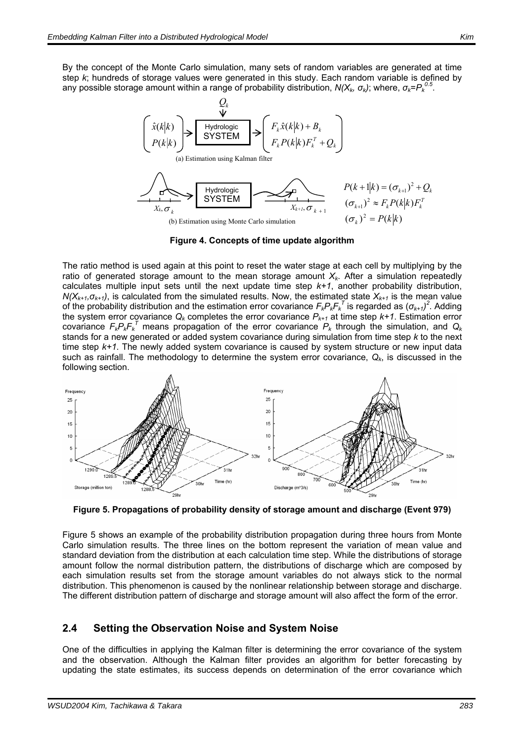By the concept of the Monte Carlo simulation, many sets of random variables are generated at time step *k*; hundreds of storage values were generated in this study. Each random variable is defined by any possible storage amount within a range of probability distribution,  $N(X_k, \sigma_k)$ ; where,  $\sigma_k = P_k^{0.5}$ .



**Figure 4. Concepts of time update algorithm** 

The ratio method is used again at this point to reset the water stage at each cell by multiplying by the ratio of generated storage amount to the mean storage amount  $X_k$ . After a simulation repeatedly calculates multiple input sets until the next update time step *k+1*, another probability distribution,  $N(X_{k+1}, \sigma_{k+1})$ , is calculated from the simulated results. Now, the estimated state  $X_{k+1}$  is the mean value of the probability distribution and the estimation error covariance  $F_kP_kF_k^T$  is regarded as  $(\sigma_{k+1})^2$ . Adding the system error covariance  $Q_k$  completes the error covariance  $P_{k+1}$  at time step  $k+1$ . Estimation error covariance *FkPkFk T* means propagation of the error covariance *Pk* through the simulation, and *Qk* stands for a new generated or added system covariance during simulation from time step *k* to the next time step  $k+1$ . The newly added system covariance is caused by system structure or new input data such as rainfall. The methodology to determine the system error covariance, *Qk*, is discussed in the following section.



**Figure 5. Propagations of probability density of storage amount and discharge (Event 979)** 

Figure 5 shows an example of the probability distribution propagation during three hours from Monte Carlo simulation results. The three lines on the bottom represent the variation of mean value and standard deviation from the distribution at each calculation time step. While the distributions of storage amount follow the normal distribution pattern, the distributions of discharge which are composed by each simulation results set from the storage amount variables do not always stick to the normal distribution. This phenomenon is caused by the nonlinear relationship between storage and discharge. The different distribution pattern of discharge and storage amount will also affect the form of the error.

### **2.4 Setting the Observation Noise and System Noise**

One of the difficulties in applying the Kalman filter is determining the error covariance of the system and the observation. Although the Kalman filter provides an algorithm for better forecasting by updating the state estimates, its success depends on determination of the error covariance which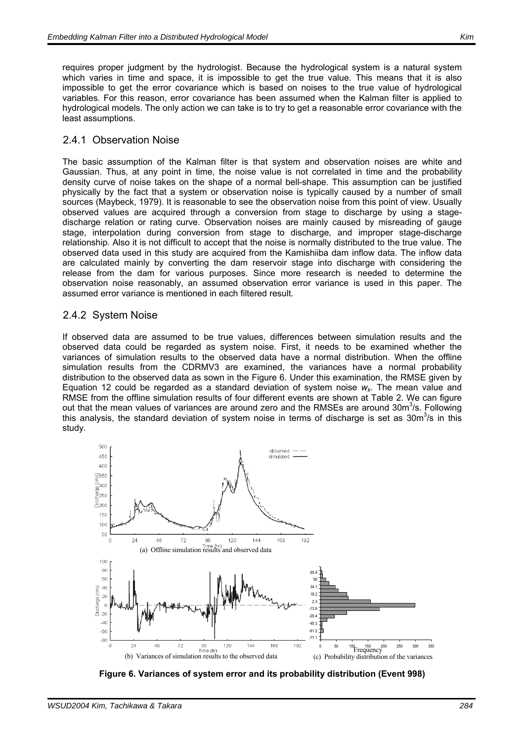requires proper judgment by the hydrologist. Because the hydrological system is a natural system which varies in time and space, it is impossible to get the true value. This means that it is also impossible to get the error covariance which is based on noises to the true value of hydrological variables. For this reason, error covariance has been assumed when the Kalman filter is applied to hydrological models. The only action we can take is to try to get a reasonable error covariance with the least assumptions.

#### 2.4.1 Observation Noise

The basic assumption of the Kalman filter is that system and observation noises are white and Gaussian. Thus, at any point in time, the noise value is not correlated in time and the probability density curve of noise takes on the shape of a normal bell-shape. This assumption can be justified physically by the fact that a system or observation noise is typically caused by a number of small sources (Maybeck, 1979). It is reasonable to see the observation noise from this point of view. Usually observed values are acquired through a conversion from stage to discharge by using a stagedischarge relation or rating curve. Observation noises are mainly caused by misreading of gauge stage, interpolation during conversion from stage to discharge, and improper stage-discharge relationship. Also it is not difficult to accept that the noise is normally distributed to the true value. The observed data used in this study are acquired from the Kamishiiba dam inflow data. The inflow data are calculated mainly by converting the dam reservoir stage into discharge with considering the release from the dam for various purposes. Since more research is needed to determine the observation noise reasonably, an assumed observation error variance is used in this paper. The assumed error variance is mentioned in each filtered result.

#### 2.4.2 System Noise

If observed data are assumed to be true values, differences between simulation results and the observed data could be regarded as system noise. First, it needs to be examined whether the variances of simulation results to the observed data have a normal distribution. When the offline simulation results from the CDRMV3 are examined, the variances have a normal probability distribution to the observed data as sown in the Figure 6. Under this examination, the RMSE given by Equation 12 could be regarded as a standard deviation of system noise  $w_k$ . The mean value and RMSE from the offline simulation results of four different events are shown at Table 2. We can figure out that the mean values of variances are around zero and the RMSEs are around 30m<sup>3</sup>/s. Following this analysis, the standard deviation of system noise in terms of discharge is set as 30m<sup>3</sup>/s in this study.



**Figure 6. Variances of system error and its probability distribution (Event 998)**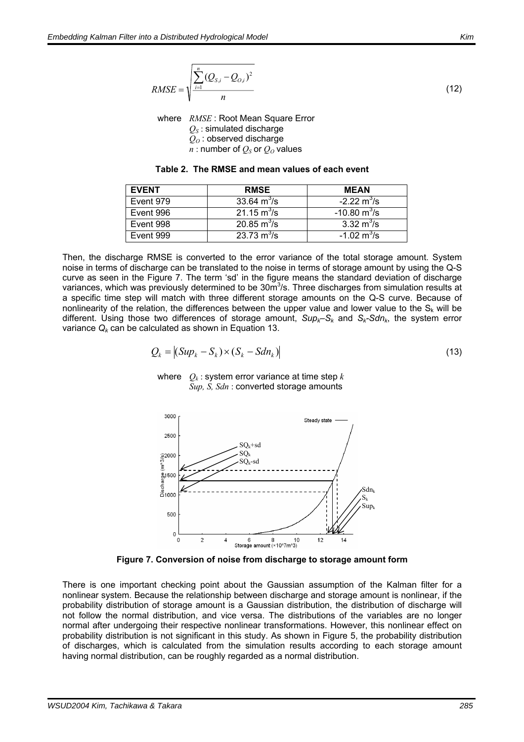RMSE = 
$$
\sqrt{\frac{\sum_{i=1}^{n} (Q_{S,i} - Q_{O,i})^2}{n}}
$$
 (12)

 where *RMSE* : Root Mean Square Error  $Q_S$ : simulated discharge *QO* : observed discharge  $n:$  number of  $Q_S$  or  $Q_O$  values

|  |  |  |  | Table 2. The RMSE and mean values of each event |
|--|--|--|--|-------------------------------------------------|
|--|--|--|--|-------------------------------------------------|

| <b>EVENT</b> | <b>RMSE</b>                     | <b>MEAN</b>                      |
|--------------|---------------------------------|----------------------------------|
| Event 979    | $33.64 \text{ m}^3/\text{s}$    | $-2.22 \text{ m}^3/\text{s}$     |
| Event 996    | $21.15 \text{ m}^3/\text{s}$    | -10.80 $\mathrm{m}^3\mathrm{/s}$ |
| Event 998    | 20.85 $\mathrm{m}^3/\mathrm{s}$ | 3.32 $\text{m}^3/\text{s}$       |
| Event 999    | 23.73 $m^3$ /s                  | $-1.02 \text{ m}^3\text{/s}$     |

Then, the discharge RMSE is converted to the error variance of the total storage amount. System noise in terms of discharge can be translated to the noise in terms of storage amount by using the Q-S curve as seen in the Figure 7. The term 'sd' in the figure means the standard deviation of discharge variances, which was previously determined to be  $30<sup>m3</sup>/s$ . Three discharges from simulation results at a specific time step will match with three different storage amounts on the Q-S curve. Because of nonlinearity of the relation, the differences between the upper value and lower value to the  $S_k$  will be different. Using those two differences of storage amount, *Supk–Sk* and *Sk-Sdnk*, the system error variance  $Q_k$  can be calculated as shown in Equation 13.

$$
Q_k = |(\text{Sup}_k - S_k) \times (S_k - \text{Sdn}_k)| \tag{13}
$$

#### where  $Q_k$ : system error variance at time step  $k$ *Sup, S, Sdn* : converted storage amounts



**Figure 7. Conversion of noise from discharge to storage amount form** 

There is one important checking point about the Gaussian assumption of the Kalman filter for a nonlinear system. Because the relationship between discharge and storage amount is nonlinear, if the probability distribution of storage amount is a Gaussian distribution, the distribution of discharge will not follow the normal distribution, and vice versa. The distributions of the variables are no longer normal after undergoing their respective nonlinear transformations. However, this nonlinear effect on probability distribution is not significant in this study. As shown in Figure 5, the probability distribution of discharges, which is calculated from the simulation results according to each storage amount having normal distribution, can be roughly regarded as a normal distribution.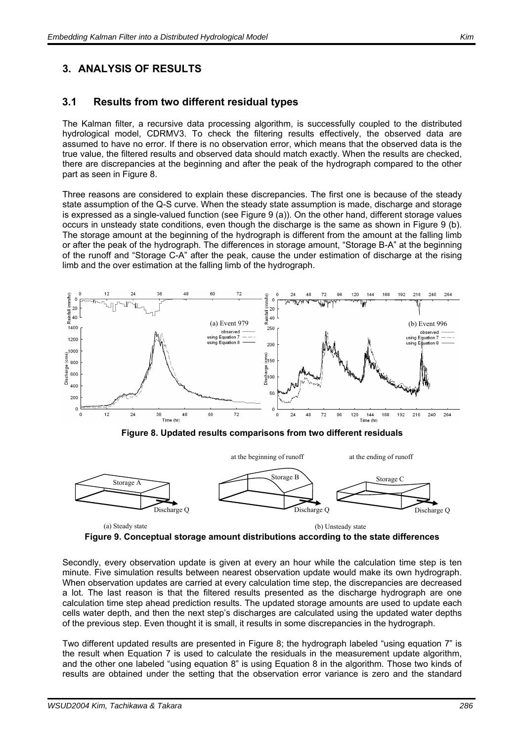### **3. ANALYSIS OF RESULTS**

### **3.1 Results from two different residual types**

The Kalman filter, a recursive data processing algorithm, is successfully coupled to the distributed hydrological model, CDRMV3. To check the filtering results effectively, the observed data are assumed to have no error. If there is no observation error, which means that the observed data is the true value, the filtered results and observed data should match exactly. When the results are checked, there are discrepancies at the beginning and after the peak of the hydrograph compared to the other part as seen in Figure 8.

Three reasons are considered to explain these discrepancies. The first one is because of the steady state assumption of the Q-S curve. When the steady state assumption is made, discharge and storage is expressed as a single-valued function (see Figure 9 (a)). On the other hand, different storage values occurs in unsteady state conditions, even though the discharge is the same as shown in Figure 9 (b). The storage amount at the beginning of the hydrograph is different from the amount at the falling limb or after the peak of the hydrograph. The differences in storage amount, "Storage B-A" at the beginning of the runoff and "Storage C-A" after the peak, cause the under estimation of discharge at the rising limb and the over estimation at the falling limb of the hydrograph.



**Figure 8. Updated results comparisons from two different residuals** 



**Figure 9. Conceptual storage amount distributions according to the state differences** 

Secondly, every observation update is given at every an hour while the calculation time step is ten minute. Five simulation results between nearest observation update would make its own hydrograph. When observation updates are carried at every calculation time step, the discrepancies are decreased a lot. The last reason is that the filtered results presented as the discharge hydrograph are one calculation time step ahead prediction results. The updated storage amounts are used to update each cells water depth, and then the next step's discharges are calculated using the updated water depths of the previous step. Even thought it is small, it results in some discrepancies in the hydrograph.

Two different updated results are presented in Figure 8; the hydrograph labeled "using equation 7" is the result when Equation 7 is used to calculate the residuals in the measurement update algorithm, and the other one labeled "using equation 8" is using Equation 8 in the algorithm. Those two kinds of results are obtained under the setting that the observation error variance is zero and the standard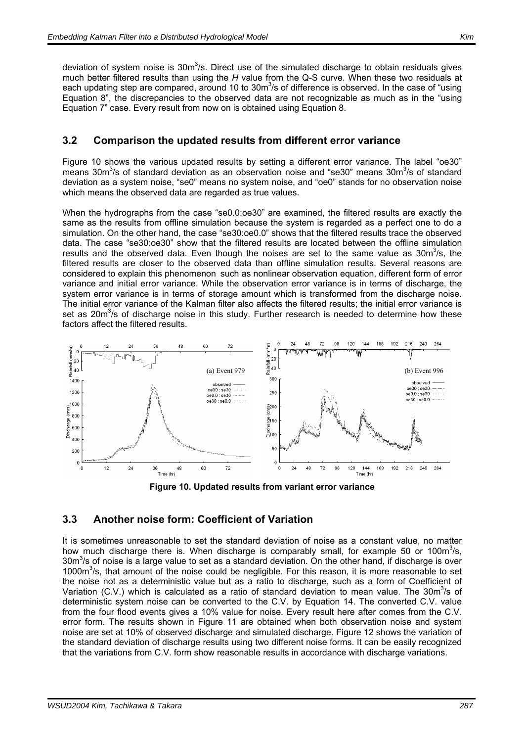deviation of system noise is 30m<sup>3</sup>/s. Direct use of the simulated discharge to obtain residuals gives much better filtered results than using the *H* value from the Q-S curve. When these two residuals at each updating step are compared, around 10 to 30m<sup>3</sup>/s of difference is observed. In the case of "using Equation 8", the discrepancies to the observed data are not recognizable as much as in the "using Equation 7" case. Every result from now on is obtained using Equation 8.

### **3.2 Comparison the updated results from different error variance**

Figure 10 shows the various updated results by setting a different error variance. The label "oe30" means 30 $\mathrm{m}^3$ /s of standard deviation as an observation noise and "se30" means 30 $\mathrm{m}^3$ /s of standard deviation as a system noise, "se0" means no system noise, and "oe0" stands for no observation noise which means the observed data are regarded as true values.

When the hydrographs from the case "se0.0:oe30" are examined, the filtered results are exactly the same as the results from offline simulation because the system is regarded as a perfect one to do a simulation. On the other hand, the case "se30:oe0.0" shows that the filtered results trace the observed data. The case "se30:oe30" show that the filtered results are located between the offline simulation results and the observed data. Even though the noises are set to the same value as  $30m^3/s$ , the filtered results are closer to the observed data than offline simulation results. Several reasons are considered to explain this phenomenon such as nonlinear observation equation, different form of error variance and initial error variance. While the observation error variance is in terms of discharge, the system error variance is in terms of storage amount which is transformed from the discharge noise. The initial error variance of the Kalman filter also affects the filtered results; the initial error variance is set as 20 $m<sup>3</sup>/s$  of discharge noise in this study. Further research is needed to determine how these factors affect the filtered results.



**Figure 10. Updated results from variant error variance** 

# **3.3 Another noise form: Coefficient of Variation**

It is sometimes unreasonable to set the standard deviation of noise as a constant value, no matter how much discharge there is. When discharge is comparably small, for example 50 or 100m<sup>3</sup>/s,  $30m<sup>3</sup>/s$  of noise is a large value to set as a standard deviation. On the other hand, if discharge is over 1000m<sup>3</sup>/s, that amount of the noise could be negligible. For this reason, it is more reasonable to set the noise not as a deterministic value but as a ratio to discharge, such as a form of Coefficient of Variation (C.V.) which is calculated as a ratio of standard deviation to mean value. The 30m<sup>3</sup>/s of deterministic system noise can be converted to the C.V. by Equation 14. The converted C.V. value from the four flood events gives a 10% value for noise. Every result here after comes from the C.V. error form. The results shown in Figure 11 are obtained when both observation noise and system noise are set at 10% of observed discharge and simulated discharge. Figure 12 shows the variation of the standard deviation of discharge results using two different noise forms. It can be easily recognized that the variations from C.V. form show reasonable results in accordance with discharge variations.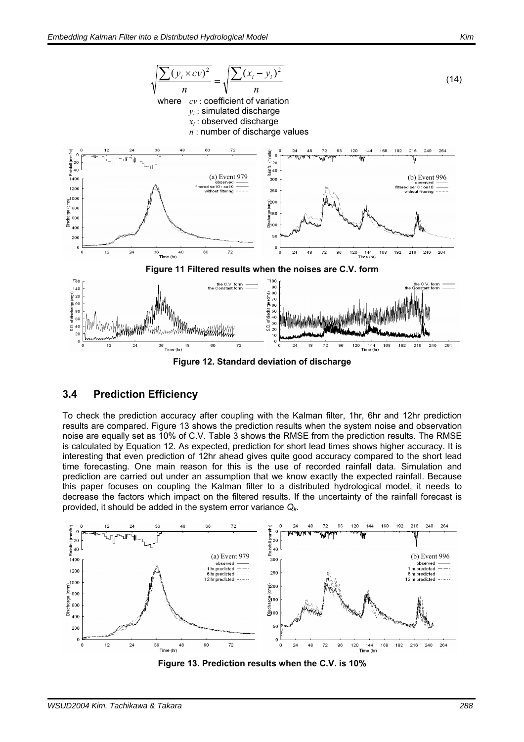

**Figure 12. Standard deviation of discharge** 

### **3.4 Prediction Efficiency**

To check the prediction accuracy after coupling with the Kalman filter, 1hr, 6hr and 12hr prediction results are compared. Figure 13 shows the prediction results when the system noise and observation noise are equally set as 10% of C.V. Table 3 shows the RMSE from the prediction results. The RMSE is calculated by Equation 12. As expected, prediction for short lead times shows higher accuracy. It is interesting that even prediction of 12hr ahead gives quite good accuracy compared to the short lead time forecasting. One main reason for this is the use of recorded rainfall data. Simulation and prediction are carried out under an assumption that we know exactly the expected rainfall. Because this paper focuses on coupling the Kalman filter to a distributed hydrological model, it needs to decrease the factors which impact on the filtered results. If the uncertainty of the rainfall forecast is provided, it should be added in the system error variance *Qk*.



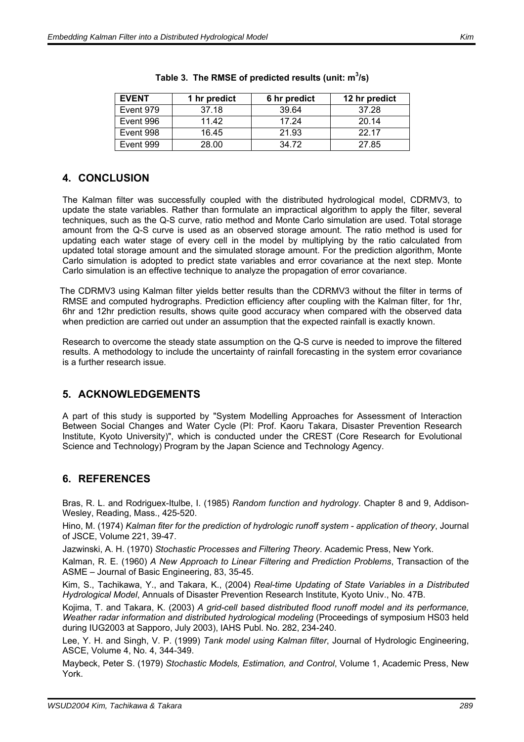| <b>EVENT</b> | 1 hr predict | 6 hr predict | 12 hr predict |
|--------------|--------------|--------------|---------------|
| Event 979    | 37.18        | 39.64        | 37.28         |
| Event 996    | 11.42        | 17 24        | 20.14         |
| Event 998    | 16.45        | 21.93        | 22 17         |
| Event 999    | 28.00        | 34.72        | 27.85         |

| Table 3. The RMSE of predicted results (unit: $m^3/s$ ) |
|---------------------------------------------------------|
|---------------------------------------------------------|

### **4. CONCLUSION**

The Kalman filter was successfully coupled with the distributed hydrological model, CDRMV3, to update the state variables. Rather than formulate an impractical algorithm to apply the filter, several techniques, such as the Q-S curve, ratio method and Monte Carlo simulation are used. Total storage amount from the Q-S curve is used as an observed storage amount. The ratio method is used for updating each water stage of every cell in the model by multiplying by the ratio calculated from updated total storage amount and the simulated storage amount. For the prediction algorithm, Monte Carlo simulation is adopted to predict state variables and error covariance at the next step. Monte Carlo simulation is an effective technique to analyze the propagation of error covariance.

The CDRMV3 using Kalman filter yields better results than the CDRMV3 without the filter in terms of RMSE and computed hydrographs. Prediction efficiency after coupling with the Kalman filter, for 1hr, 6hr and 12hr prediction results, shows quite good accuracy when compared with the observed data when prediction are carried out under an assumption that the expected rainfall is exactly known.

Research to overcome the steady state assumption on the Q-S curve is needed to improve the filtered results. A methodology to include the uncertainty of rainfall forecasting in the system error covariance is a further research issue.

# **5. ACKNOWLEDGEMENTS**

A part of this study is supported by "System Modelling Approaches for Assessment of Interaction Between Social Changes and Water Cycle (PI: Prof. Kaoru Takara, Disaster Prevention Research Institute, Kyoto University)", which is conducted under the CREST (Core Research for Evolutional Science and Technology) Program by the Japan Science and Technology Agency.

# **6. REFERENCES**

Bras, R. L. and Rodriguex-Itulbe, I. (1985) *Random function and hydrology*. Chapter 8 and 9, Addison-Wesley, Reading, Mass., 425-520.

Hino, M. (1974) *Kalman fiter for the prediction of hydrologic runoff system - application of theory*, Journal of JSCE, Volume 221, 39-47.

Jazwinski, A. H. (1970) *Stochastic Processes and Filtering Theory*. Academic Press, New York.

Kalman, R. E. (1960) *A New Approach to Linear Filtering and Prediction Problems*, Transaction of the ASME – Journal of Basic Engineering, 83, 35-45.

Kim, S., Tachikawa, Y., and Takara, K., (2004) *Real-time Updating of State Variables in a Distributed Hydrological Model*, Annuals of Disaster Prevention Research Institute, Kyoto Univ., No. 47B.

Kojima, T. and Takara, K. (2003) *A grid-cell based distributed flood runoff model and its performance, Weather radar information and distributed hydrological modeling* (Proceedings of symposium HS03 held during IUG2003 at Sapporo, July 2003), IAHS Publ. No. 282, 234-240.

Lee, Y. H. and Singh, V. P. (1999) *Tank model using Kalman filter*, Journal of Hydrologic Engineering, ASCE, Volume 4, No. 4, 344-349.

Maybeck, Peter S. (1979) *Stochastic Models, Estimation, and Control*, Volume 1, Academic Press, New York.